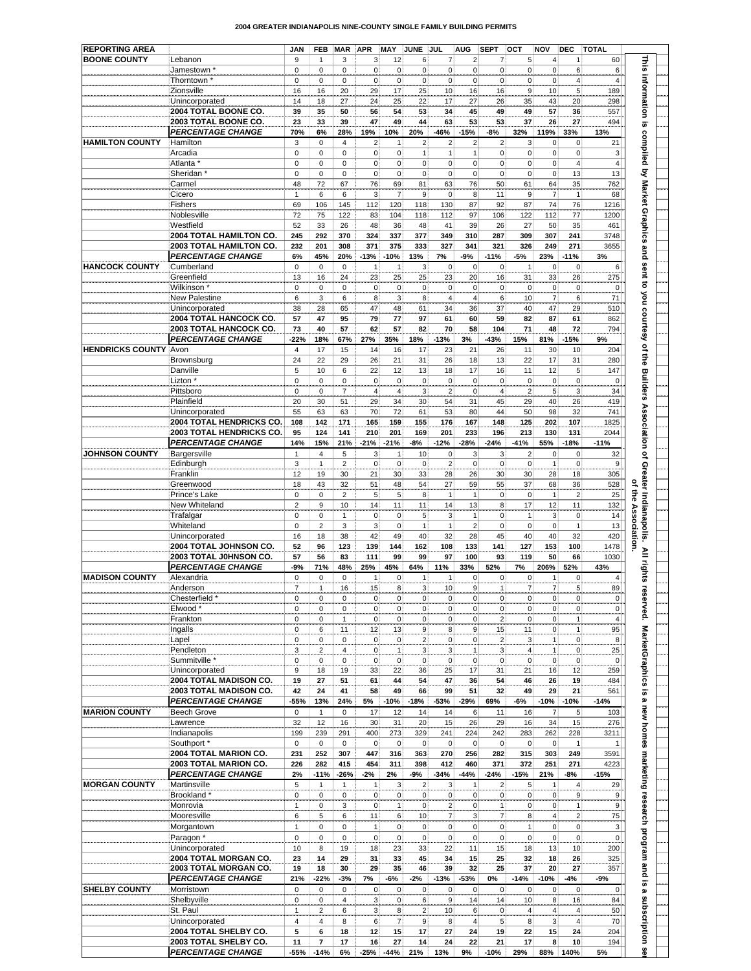|  |  | 2004 GREATER INDIANAPOLIS NINE-COUNTY SINGLE FAMILY BUILDING PERMITS |
|--|--|----------------------------------------------------------------------|
|  |  |                                                                      |

| <b>REPORTING AREA</b>        |                                                | <b>JAN</b>     | <b>FEB</b>                     | <b>MAR</b>          | <b>APR</b>                       | MAY                            | <b>JUNE</b>                    | JUL.                             | <b>AUG</b>                       | <b>SEPT</b>                      | <b>OCT</b>                     | NOV                       | <b>DEC</b>                           | <b>TOTAL</b>                   |                                                                                                          |
|------------------------------|------------------------------------------------|----------------|--------------------------------|---------------------|----------------------------------|--------------------------------|--------------------------------|----------------------------------|----------------------------------|----------------------------------|--------------------------------|---------------------------|--------------------------------------|--------------------------------|----------------------------------------------------------------------------------------------------------|
| <b>BOONE COUNTY</b>          | Lebanon                                        | 9              | 1                              | 3                   | 3                                | 12                             | 6 <sup>1</sup>                 | 7                                | $\mathbf{2}$                     | 7)                               | 5 <sup>1</sup>                 | $\overline{4}$            | 1                                    | 60                             | <b>This</b>                                                                                              |
|                              | Jamestown *                                    | $\mathbf 0$    | $\mathbf 0$                    | 0                   | $\overline{0}$                   | $\mathbf 0$                    | 0                              | 0                                | $\overline{0}$                   | $\overline{0}$                   | 0                              | $\pmb{0}$                 | 6                                    | 6                              |                                                                                                          |
|                              | Thorntown <sup>*</sup><br>Zionsville           | 0<br>16        | 0<br>16                        | 0<br>20             | $\mathbf 0$<br>29                | $\mathbf 0$<br>17              | $\mathbf{0}$<br>25             | $\mathbf 0$<br>10                | $\mathbf 0$<br>16                | $\mathbf{0}$<br>16               | $\overline{0}$<br>$\mathsf{g}$ | $\mathbf 0$<br>10         | 4<br>$\overline{5}$                  | 4<br>189                       |                                                                                                          |
|                              | Unincorporated                                 | 14             | 18                             | 27                  | 24                               | 25                             | 22                             | 17                               | 27                               | 26                               | 35                             | 43                        | 20                                   | 298                            |                                                                                                          |
|                              | 2004 TOTAL BOONE CO.                           | 39             | 35                             | 50                  | 56                               | 54                             | 53                             | 34                               | 45                               | 49                               | 49                             | 57                        | 36                                   | 557                            |                                                                                                          |
|                              | 2003 TOTAL BOONE CO.                           | 23             | 33                             | 39                  | 47                               | 49                             | 44                             | 63                               | 53                               | 53                               | 37                             | 26                        | 27                                   | 494                            | information is                                                                                           |
|                              | <b>PERCENTAGE CHANGE</b>                       | 70%            | 6%                             | 28%                 | 19%                              | 10%                            | 20%                            | $-46%$                           | $-15%$                           | -8%                              | 32%                            | 119%                      | 33%                                  | 13%                            |                                                                                                          |
| <b>HAMILTON COUNTY</b>       | Hamilton                                       | 3              | $\mathbf 0$                    | $\overline{4}$      | $\overline{2}$                   | 1                              | $\overline{\mathbf{c}}$        | $\mathbf 2$                      | $\mathbf 2$                      | $\overline{\mathbf{c}}$          | $\overline{3}$                 | $\mathbf 0$               | $\pmb{0}$                            | 21                             |                                                                                                          |
|                              | Arcadia<br>Atlanta *                           | 0<br>0         | $\mathbf 0$<br>$\mathbf 0$     | 0<br>0              | $\overline{0}$<br>$\overline{0}$ | $\mathbf 0$<br>$\mathbf 0$     | $\mathbf{1}$<br>$\mathbf{0}$   | $\mathbf{1}$<br>$\overline{0}$   | $\mathbf{1}$<br>$\mathbf{0}$     | $\mathbf{0}$<br>0 <sup>1</sup>   | 0 <br> 0                       | $\pmb{0}$<br>$\pmb{0}$    | $\pmb{0}$<br>$\overline{\mathbf{4}}$ | 3<br>$\overline{4}$            |                                                                                                          |
|                              | Sheridan <sup>*</sup>                          | $\mathbf 0$    | $\mathsf 0$                    | 0                   | $\overline{0}$                   | 0                              | $\overline{0}$                 | $\overline{0}$                   | $\overline{0}$                   | $\overline{0}$                   | 0                              | $\pmb{0}$                 | 13                                   | 13                             |                                                                                                          |
|                              | Carmel                                         | 48             | 72                             | 67                  | 76                               | 69                             | 81                             | 63                               | 76                               | 50                               | 61                             | 64                        | 35                                   | 762                            |                                                                                                          |
|                              | Cicero                                         | $\mathbf{1}$   | 6                              | 6                   | 3                                | $\overline{7}$                 | 9                              | $\mathbf 0$                      | 8                                | 11                               | $\mathsf{g}$                   | $\overline{\mathcal{I}}$  | $\mathbf{1}$                         | 68                             |                                                                                                          |
|                              | Fishers                                        | 69             | 106                            | 145                 | 112                              | 120                            | 118                            | 130                              | 87                               | 92                               | 87                             | 74                        | 76                                   | 1216                           |                                                                                                          |
|                              | Noblesville                                    | 72             | 75                             | 122                 | 83                               | 104                            | 118                            | 112                              | 97                               | 106                              | 122                            | 112                       | 77                                   | 1200                           |                                                                                                          |
|                              | Westfield<br>2004 TOTAL HAMILTON CO.           | 52<br>245      | 33<br>292                      | 26<br>370           | 48<br>324                        | 36<br>337                      | 48<br>377                      | 41<br>349                        | 39<br>310                        | 26<br>287                        | 27<br>309                      | 50<br>307                 | 35<br>241                            | 461<br>3748                    |                                                                                                          |
|                              | 2003 TOTAL HAMILTON CO.                        | 232            | 201                            | 308                 | 371                              | 375                            | 333                            | 327                              | 341                              | 321                              | 326                            | 249                       | 271                                  | 3655                           |                                                                                                          |
|                              | <b>PERCENTAGE CHANGE</b>                       | 6%             | 45%                            | 20%                 | $-13%$                           | $-10%$                         | 13%                            | 7%                               | -9%                              | $-11%$                           | -5%                            | 23%                       | $-11%$                               | 3%                             |                                                                                                          |
| <b>HANCOCK COUNTY</b>        | Cumberland                                     | $\mathbf 0$    | $\mathbf 0$                    | $\mathbf 0$         | $\overline{1}$                   | $\overline{1}$                 | $\overline{3}$                 | $\pmb{0}$                        | $\pmb{0}$                        | 0                                | $\mathbf{1}$                   | $\pmb{0}$                 | $\pmb{0}$                            | 6                              |                                                                                                          |
|                              | Greenfield                                     | 13             | 16                             | 24                  | 23                               | 25                             | 25                             | 23                               | 20                               | 16                               | 31                             | 33                        | 26                                   | 275                            |                                                                                                          |
|                              | Wilkinson <sup>*</sup>                         | $\mathbf 0$    | $\mathbf 0$                    | $\mathbf 0$         | $\overline{0}$                   | $\mathbf 0$                    | $\mathbf{0}$                   | $\overline{0}$                   | $\overline{0}$                   | $\mathbf{0}$                     | $\overline{0}$                 | $\pmb{0}$                 | $\mathbf 0$                          | $\overline{0}$                 |                                                                                                          |
|                              | New Palestine<br>Unincorporated                | 6<br>38        | 3<br>28                        | 6<br>65             | 8<br>47                          | 3<br>48                        | 8<br>61                        | $\overline{4}$<br>34             | $\overline{4}$<br>36             | $6 \overline{6}$<br>37           | 10<br>40                       | $\overline{7}$<br>47      | 6<br>29                              | 71<br>510                      |                                                                                                          |
|                              | 2004 TOTAL HANCOCK CO.                         | 57             | 47                             | 95                  | 79                               | 77                             | 97                             | 61                               | 60                               | 59                               | 82                             | 87                        | 61                                   | 862                            |                                                                                                          |
|                              | 2003 TOTAL HANCOCK CO.                         | 73             | 40                             | 57                  | 62                               | 57                             | 82                             | 70                               | 58                               | 104                              | 71                             | 48                        | 72                                   | 794                            |                                                                                                          |
|                              | <b>PERCENTAGE CHANGE</b>                       | $-22%$         | 18%                            | 67%                 | 27%                              | 35%                            | 18%                            | $-13%$                           | 3%                               | $-43%$                           | 15%                            | 81%                       | $-15%$                               | 9%                             | compiled by Market Graphics and sent to you courtesy of the Builders Association of Greater Indianapolis |
| <b>HENDRICKS COUNTY Avon</b> |                                                | $\overline{4}$ | 17                             | 15                  | 14                               | 16                             | 17                             | 23                               | 21                               | 26                               | 11                             | 30                        | 10                                   | 204                            |                                                                                                          |
|                              | Brownsburg                                     | 24             | 22                             | 29                  | 26                               | 21                             | 31                             | 26                               | 18                               | 13                               | 22                             | 17                        | 31                                   | 280                            |                                                                                                          |
|                              | Danville                                       | 5              | 10                             | 6                   | 22                               | 12                             | 13                             | 18                               | 17                               | 16                               | 11                             | 12                        | 5                                    | 147                            |                                                                                                          |
|                              | Lizton <sup>*</sup><br>Pittsboro               | 0<br>0         | $\mathbf 0$<br>$\mathbf 0$     | 0<br>$\overline{7}$ | $\mathbf 0$<br>$\overline{4}$    | $\mathbf 0$<br>$\overline{4}$  | $\mathbf 0$<br>3               | $\pmb{0}$<br>$\overline{2}$      | $\mathbf{0}$<br>$\overline{0}$   | $\mathbf{0}$<br>$\overline{4}$   | 0 <br>$\overline{2}$           | $\pmb{0}$<br>5            | $\pmb{0}$<br>3                       | $\mathbf 0$<br>34              |                                                                                                          |
|                              | Plainfield                                     | 20             | 30                             | 51                  | 29                               | 34                             | 30                             | 54                               | 31                               | 45                               | 29                             | 40                        | 26                                   | 419                            |                                                                                                          |
|                              | Unincorporated                                 | 55             | 63                             | 63                  | 70                               | 72                             | 61                             | 53                               | 80                               | 44                               | 50                             | 98                        | 32                                   | 741                            |                                                                                                          |
|                              | 2004 TOTAL HENDRICKS CO.                       | 108            | 142                            | 171                 | 165                              | 159                            | 155                            | 176                              | 167                              | 148                              | 125                            | 202                       | 107                                  | 1825                           |                                                                                                          |
|                              | 2003 TOTAL HENDRICKS CO.                       | 95             | 124                            | 141                 | 210                              | 201                            | 169                            | 201                              | 233                              | 196                              | 213                            | 130                       | 131                                  | 2044                           |                                                                                                          |
|                              | <b>PERCENTAGE CHANGE</b>                       | 14%            | 15%                            | 21%                 | $-21%$                           | $-21%$                         | $-8%$                          | $-12%$                           | $-28%$                           | $-24%$                           | $-41%$                         | 55%                       | $-18%$                               | $-11%$                         |                                                                                                          |
| <b>JOHNSON COUNTY</b>        | Bargersville<br>Edinburgh                      | 1<br>3         | $\overline{4}$<br>$\mathbf{1}$ | 5<br>$\overline{2}$ | 3<br>$\overline{0}$              | $\mathbf{1}$<br>$\mathbf 0$    | 10<br>$\pmb{0}$                | $\overline{0}$<br>$\overline{2}$ | $\mathbf{3}$<br>$\overline{0}$   | 3<br>$\overline{0}$              | 2 <br> 0                       | $\pmb{0}$<br>$\mathbf{1}$ | $\mathbf 0$<br>$\pmb{0}$             | 32<br>9                        |                                                                                                          |
|                              | Franklin                                       | 12             | 19                             | 30                  | 21                               | 30                             | 33                             | 28                               | 26                               | 30 <sup>1</sup>                  | 30                             | 28                        | 18                                   | 305                            |                                                                                                          |
|                              | Greenwood                                      | 18             | 43                             | 32                  | 51                               | 48                             | 54                             | 27                               | 59                               | 55                               | 37                             | 68                        | 36                                   | 528                            |                                                                                                          |
|                              | Prince's Lake                                  | 0              | $\mathbf 0$                    | $\overline{2}$      | 5 <sup>1</sup>                   | $\overline{5}$                 | 8                              | $\mathbf{1}$                     | $\mathbf{1}$                     | 0                                | $\mathbf{0}$                   | $\mathbf{1}$              | $\overline{2}$                       | 25                             | of the                                                                                                   |
|                              | New Whiteland                                  | $\overline{2}$ | 9                              | 10                  | 14                               | 11                             | 11                             | 14                               | 13                               | 8 <sup>1</sup>                   | 17                             | 12                        | 11                                   | 132                            |                                                                                                          |
|                              | Trafalgar                                      | $\mathbf 0$    | 0                              | $\mathbf{1}$        | $\overline{0}$                   | $\overline{0}$                 | 5 <sup>1</sup>                 | $\mathbf{3}$                     | $\mathbf{1}$                     | 0 <sup>1</sup>                   | 1                              | $\sqrt{3}$                | $\mathbf 0$                          | 14                             | <b>Associatio</b>                                                                                        |
|                              | Whiteland<br>Unincorporated                    | 0<br>16        | $\overline{2}$<br>18           | 3<br>38             | 3<br>42                          | $\mathbf 0$<br>49              | $\mathbf{1}$<br>40             | $\mathbf{1}$<br>32               | $\overline{2}$<br>28             | $\overline{0}$<br>45             | 0 <br>40                       | $\mathbf 0$<br>40         | $\mathbf{1}$<br>32                   | 13<br>420                      |                                                                                                          |
|                              | 2004 TOTAL JOHNSON CO.                         | 52             | 96                             | 123                 | 139                              | 144                            | 162                            | 108                              | 133                              | 141                              | 127                            | 153                       | 100                                  | 1478                           |                                                                                                          |
|                              | 2003 TOTAL J0HNSON CO.                         | 57             | 56                             | 83                  | 111                              | 99                             | 99                             | 97                               | 100                              | 93                               | 119                            | 50                        | 66                                   | 1030                           |                                                                                                          |
|                              | <b>PERCENTAGE CHANGE</b>                       | $-9%$          | 71%                            | 48%                 | 25%                              | 45%                            | 64%                            | 11%                              | 33%                              | 52%                              | 7%                             | 206%                      | 52%                                  | 43%                            | All rights                                                                                               |
| <b>MADISON COUNTY</b>        | Alexandria                                     | $\mathbf 0$    | $\mathsf 0$                    | $\mathbf 0$         | 1                                | $\mathbf 0$                    | 1                              | 1                                | $\overline{0}$                   | $\mathbf{0}$                     | $\mathbf{0}$                   | $\mathbf{1}$              | $\mathbf 0$                          | $\overline{4}$                 |                                                                                                          |
|                              | Anderson                                       | 7              | 1                              | 16                  | 15                               | 8                              | $\mathbf{3}$                   | 10                               | 9                                | 1                                | $\overline{7}$                 | 7                         | 5                                    | 89                             |                                                                                                          |
|                              | Chesterfield *<br>Elwood *                     | 0<br>0         | 0<br>$\mathbf 0$               | 0<br>$\mathbf 0$    | 0 <br> 0                         | $\mathbf 0$<br>$\vert 0 \vert$ | $\overline{0}$<br>$\mathbf{0}$ | 0 <br> 0                         | $\overline{0}$<br>$\overline{0}$ | 0 <sup>1</sup><br>0 <sup>1</sup> | 0 <br> 0                       | $\pmb{0}$<br>$\mathbf 0$  | $\overline{0}$<br>$\overline{0}$     | $\mathbf{0}$<br>$\overline{0}$ | served.                                                                                                  |
|                              | Frankton                                       | 0              | 0                              | $\mathbf{1}$        | 0                                | 0                              | 0 <sup>1</sup>                 | 0                                | $\overline{0}$                   | 2                                | 0 <sup>1</sup>                 | $\mathbf{0}$              | 1                                    | 4                              |                                                                                                          |
|                              | Ingalls                                        | $\mathbf 0$    | 6                              | 11                  | 12                               | 13                             | 9                              | 8 <sup>1</sup>                   | $\overline{9}$                   | 15                               | 11                             | $\overline{0}$            | 1                                    | 95                             |                                                                                                          |
|                              | Lapel                                          | 0              | 0                              | 0                   | 0                                | $\overline{0}$                 | $\overline{2}$                 | 0                                | $\overline{0}$                   | $\mathbf{2}$                     | $3\vert$                       | $\mathbf{1}$              | $\pmb{0}$                            | 8 <sup>1</sup>                 |                                                                                                          |
|                              | Pendleton                                      | 3              | $\overline{2}$                 | $\overline{4}$      | $\overline{0}$                   | $\mathbf{1}$                   | 3                              | $\mathbf{3}$                     | $\mathbf{1}$                     | 3 <sup>1</sup>                   | 4                              | $\mathbf{1}$              | $\overline{0}$                       | 25                             | <b>MarketGraphics</b>                                                                                    |
|                              | Summitville *                                  | 0              | 0                              | 0                   | 0                                | 0                              | $\mathbf{0}$                   | 0                                | $\overline{0}$                   | $\mathbf{0}$                     | $\vert$                        | $\overline{0}$            | $\mathbf{0}$                         | $\circ$                        |                                                                                                          |
|                              | Unincorporated<br>2004 TOTAL MADISON CO.       | 9<br>19        | 18<br>27                       | 19<br>51            | 33<br>61                         | 22<br>44                       | 36<br>54                       | 25<br>47                         | 17<br>36                         | 31<br>54                         | 21<br>46                       | 16<br>26                  | 12<br>19                             | 259<br>484                     |                                                                                                          |
|                              | 2003 TOTAL MADISON CO.                         | 42             | 24                             | 41                  | 58                               | 49                             | 66                             | 99                               | 51                               | 32                               | 49                             | 29                        | 21                                   | 561                            |                                                                                                          |
|                              | <b>PERCENTAGE CHANGE</b>                       | $-55%$         | 13%                            | 24%                 | 5%                               | $-10%$                         | $-18%$                         | $-53%$                           | $-29%$                           | 69%                              | -6%                            | $-10%$                    | $-10%$                               | $-14%$                         | is a new homes marketing research program and                                                            |
| <b>MARION COUNTY</b>         | <b>Beech Grove</b>                             | 0              | $\mathbf{1}$                   | 0                   | 17                               | 12                             | 14                             | 14                               | 6                                | 11                               | 16                             | $\overline{7}$            | 5                                    | 103                            |                                                                                                          |
|                              | Lawrence                                       | 32             | 12                             | 16                  | 30                               | 31                             | 20                             | 15                               | 26                               | 29                               | 16                             | 34                        | 15                                   | 276                            |                                                                                                          |
|                              | Indianapolis                                   | 199            | 239                            | 291                 | 400                              | 273                            | 329                            | 241                              | 224                              | 242                              | 283                            | 262                       | 228                                  | 3211                           |                                                                                                          |
|                              | Southport *                                    | 0              | 0                              | 0                   | 0                                | 0                              | $\overline{0}$                 | 0                                | $\overline{0}$                   | 0                                | 0                              | $\mathbf 0$               | 1                                    | 1                              |                                                                                                          |
|                              | 2004 TOTAL MARION CO.<br>2003 TOTAL MARION CO. | 231<br>226     | 252<br>282                     | 307<br>415          | 447<br>454                       | 316<br>311                     | 363<br>398                     | 270<br>412                       | 256<br>460                       | 282<br>371                       | 315<br>372                     | 303<br>251                | 249<br>271                           | 3591<br>4223                   |                                                                                                          |
|                              | <b>PERCENTAGE CHANGE</b>                       | 2%             | $-11%$                         | $-26%$              | $-2%$                            | 2%                             | -9%                            | $-34%$                           | $-44%$                           | $-24%$                           | $-15%$                         | 21%                       | $-8%$                                | $-15%$                         |                                                                                                          |
| <b>MORGAN COUNTY</b>         | Martinsville                                   | 5              | $\mathbf{1}$                   | $\mathbf{1}$        | $\mathbf{1}$                     | 3                              | 2 <sub>1</sub>                 | 3                                | $\mathbf{1}$                     | $\mathbf{2}$                     | 5 <sup>5</sup>                 | $\mathbf{1}$              | $\overline{4}$                       | 29                             |                                                                                                          |
|                              | Brookland*                                     | 0              | 0                              | 0                   | 0                                | 0                              | 0 <sup>1</sup>                 | 0                                | 0                                | $\mathbf{0}$                     | 0 <sup>1</sup>                 | $\mathbf{0}$              | $\overline{9}$                       | 9                              |                                                                                                          |
|                              | Monrovia                                       | $\mathbf{1}$   | 0                              | 3                   | $\overline{0}$                   | $\mathbf{1}$                   | $\overline{0}$                 | $\mathbf{2}$                     | $\overline{0}$                   | 1                                | 0                              | $\pmb{0}$                 | 1                                    | 9                              |                                                                                                          |
|                              | Mooresville                                    | 6              | 5                              | 6                   | 11                               | 6                              | 10 <sub>1</sub>                | $\overline{\mathbf{7}}$          | $\mathbf{3}$                     | $\mathbf{7}$                     | $8^{\frac{1}{2}}$              | $\sqrt{4}$                | $\mathbf 2$                          | 75                             |                                                                                                          |
|                              | Morgantown                                     | $\mathbf{1}$   | 0                              | 0                   | $\mathbf{1}$                     | $\overline{0}$                 | $\overline{0}$                 | οl                               | $\overline{0}$                   | 0                                | 1                              | $\pmb{0}$                 | $\overline{0}$                       | 3 <sup>2</sup>                 |                                                                                                          |
|                              | Paragon *<br>Unincorporated                    | $\mathbf 0$    | 0<br>8                         | 0<br>19             | $\overline{0}$                   | $\mathbf 0$                    | $\overline{0}$<br>33           | $\overline{0}$                   | $\overline{0}$<br>11             | $\mathbf{0}$                     | 0                              | $\pmb{0}$                 | $\overline{0}$<br>10                 | $\overline{0}$<br>200          |                                                                                                          |
|                              | 2004 TOTAL MORGAN CO.                          | 10<br>23       | 14                             | 29                  | 18<br>31                         | 23<br>33                       | 45                             | 22<br>34                         | 15                               | 15 <sub>1</sub><br>25            | 18<br>32                       | 13<br>18                  | 26                                   | 325                            |                                                                                                          |
|                              | 2003 TOTAL MORGAN CO.                          | 19             | 18                             | 30                  | 29                               | 35                             | 46                             | 39                               | 32                               | 25                               | 37                             | 20                        | 27                                   | 357                            |                                                                                                          |
|                              | <b>PERCENTAGE CHANGE</b>                       | 21%            | $-22%$                         | $-3%$               | 7%                               | -6%                            | $-2%$                          | $-13%$                           | $-53%$                           | 0%                               | $-14%$                         | $-10%$                    | $-4%$                                | $-9%$                          | 9                                                                                                        |
| <b>SHELBY COUNTY</b>         | Morristown                                     | 0              | 0                              | 0                   | $\overline{0}$                   | $\mathbf 0$                    | $\mathbf{0}$                   | 0                                | $\overline{0}$                   | $\mathbf{0}$                     | 0                              | $\mathbf 0$               | $\mathbf{0}$                         | 0                              |                                                                                                          |
|                              | Shelbyville                                    | 0              | 0                              | $\overline{4}$      | $\overline{3}$                   | $\overline{0}$                 | 6 <sup>1</sup>                 | 9                                | 14                               | 14                               | 10 <sup>1</sup>                | $\bf8$                    | 16                                   | 84                             |                                                                                                          |
|                              | St. Paul                                       | $\mathbf{1}$   | $\overline{2}$                 | 6                   | $\overline{3}$                   | 8                              | $\mathbf{2}$                   | 10                               | 6 <sup>1</sup>                   | 0                                | $\vert$                        | $\overline{4}$            | $\overline{4}$                       | 50                             |                                                                                                          |
|                              | Unincorporated                                 | $\overline{4}$ | $\overline{4}$                 | 8                   | $6 \,$                           | $\overline{7}$                 | 9                              | 8                                | $\overline{4}$                   | $\overline{5}$                   | $\bf{8}$                       | $\mathsf 3$               | $\overline{4}$                       | 70                             | a subscription                                                                                           |
|                              | 2004 TOTAL SHELBY CO.<br>2003 TOTAL SHELBY CO. | 5<br>11        | 6<br>$\overline{\phantom{a}}$  | 18<br>17            | 12<br>16                         | 15<br>27                       | 17<br>14                       | 27<br>24                         | 24<br>22                         | 19<br>21                         | 22<br>17                       | 15<br>8                   | 24<br>10 <sup>1</sup>                | 204<br>194                     |                                                                                                          |
|                              | <b>PERCENTAGE CHANGE</b>                       | -55%           | $-14%$                         | 6%                  | $-25%$                           | $-44%$                         | 21%                            | 13%                              | 9%                               | $-10%$                           | 29%                            | 88%                       | 140%                                 | 5%                             | 8€                                                                                                       |
|                              |                                                |                |                                |                     |                                  |                                |                                |                                  |                                  |                                  |                                |                           |                                      |                                |                                                                                                          |